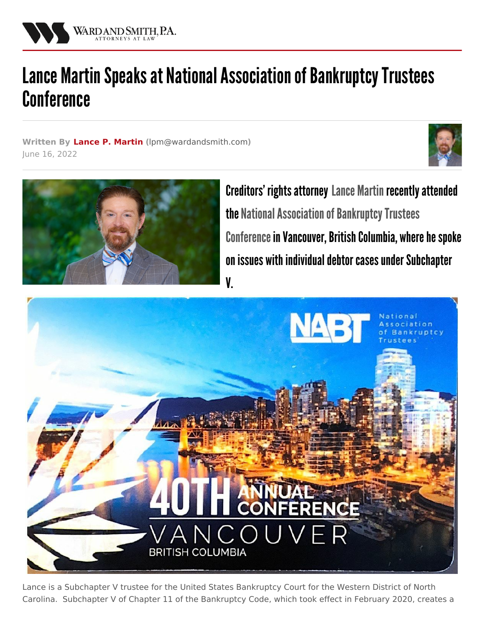

## Lance Martin Speaks at National Association of Bankruptcy Trustees **Conference**

**Written By Lance P. [Martin](/attorneys/lance-martin) (**[lpm@wardandsmith.com](mailto:lpm@wardandsmith.com)**)** June 16, 2022





Creditors' rights attorney Lance [Martin](/attorneys/lance-martin) recently attended the National Association of Bankruptcy Trustees Conference in Vancouver, British Columbia, where he spoke on issues with individual debtor cases under Subchapter V.



Lance is a Subchapter V trustee for the United States Bankruptcy Court for the Western District of North Carolina. Subchapter V of Chapter 11 of the Bankruptcy Code, which took effect in February 2020, creates a